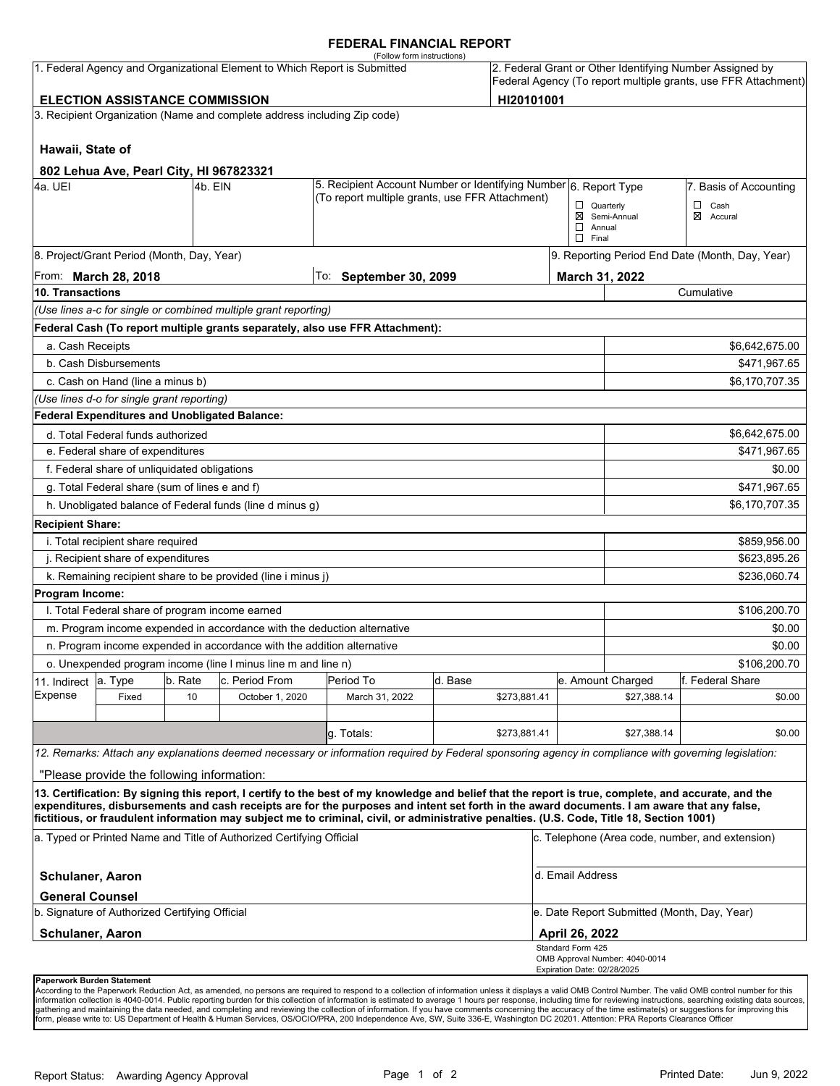#### **FEDERAL FINANCIAL REPORT**

|                                |                                                                       |               |                                                                                 | (Follow form instructions)                                                                                                                                                                                                                                                              |         |              |                                   |                                             |                                                                                                                            |
|--------------------------------|-----------------------------------------------------------------------|---------------|---------------------------------------------------------------------------------|-----------------------------------------------------------------------------------------------------------------------------------------------------------------------------------------------------------------------------------------------------------------------------------------|---------|--------------|-----------------------------------|---------------------------------------------|----------------------------------------------------------------------------------------------------------------------------|
|                                |                                                                       |               | 1. Federal Agency and Organizational Element to Which Report is Submitted       |                                                                                                                                                                                                                                                                                         |         |              |                                   |                                             | 2. Federal Grant or Other Identifying Number Assigned by<br>Federal Agency (To report multiple grants, use FFR Attachment) |
|                                | <b>ELECTION ASSISTANCE COMMISSION</b>                                 |               |                                                                                 |                                                                                                                                                                                                                                                                                         |         | HI20101001   |                                   |                                             |                                                                                                                            |
|                                |                                                                       |               | 3. Recipient Organization (Name and complete address including Zip code)        |                                                                                                                                                                                                                                                                                         |         |              |                                   |                                             |                                                                                                                            |
| Hawaii, State of               |                                                                       |               |                                                                                 |                                                                                                                                                                                                                                                                                         |         |              |                                   |                                             |                                                                                                                            |
|                                | 802 Lehua Ave, Pearl City, HI 967823321                               |               |                                                                                 |                                                                                                                                                                                                                                                                                         |         |              |                                   |                                             |                                                                                                                            |
| 4a. UEI                        |                                                                       | l4b. EIN      |                                                                                 | 5. Recipient Account Number or Identifying Number 6. Report Type<br>(To report multiple grants, use FFR Attachment)                                                                                                                                                                     |         |              |                                   |                                             | 7. Basis of Accounting                                                                                                     |
|                                |                                                                       |               |                                                                                 |                                                                                                                                                                                                                                                                                         |         |              | $\Box$ Quarterly<br>$\Box$ Annual | ⊠ Semi-Annual                               | $\Box$ Cash<br>⊠ Accural                                                                                                   |
|                                |                                                                       |               |                                                                                 |                                                                                                                                                                                                                                                                                         |         |              | $\Box$ Final                      |                                             |                                                                                                                            |
|                                | 8. Project/Grant Period (Month, Day, Year)                            |               |                                                                                 |                                                                                                                                                                                                                                                                                         |         |              |                                   |                                             | 9. Reporting Period End Date (Month, Day, Year)                                                                            |
| 10. Transactions               | From: March 28, 2018                                                  |               |                                                                                 | To:<br><b>September 30, 2099</b>                                                                                                                                                                                                                                                        |         |              | March 31, 2022                    |                                             | Cumulative                                                                                                                 |
|                                |                                                                       |               |                                                                                 |                                                                                                                                                                                                                                                                                         |         |              |                                   |                                             |                                                                                                                            |
|                                |                                                                       |               | (Use lines a-c for single or combined multiple grant reporting)                 |                                                                                                                                                                                                                                                                                         |         |              |                                   |                                             |                                                                                                                            |
|                                |                                                                       |               |                                                                                 | Federal Cash (To report multiple grants separately, also use FFR Attachment):                                                                                                                                                                                                           |         |              |                                   |                                             |                                                                                                                            |
| a. Cash Receipts               |                                                                       |               |                                                                                 |                                                                                                                                                                                                                                                                                         |         |              |                                   |                                             | \$6,642,675.00                                                                                                             |
|                                | b. Cash Disbursements                                                 |               |                                                                                 |                                                                                                                                                                                                                                                                                         |         |              |                                   |                                             | \$471,967.65                                                                                                               |
|                                | c. Cash on Hand (line a minus b)                                      |               |                                                                                 |                                                                                                                                                                                                                                                                                         |         |              |                                   |                                             | \$6,170,707.35                                                                                                             |
|                                | (Use lines d-o for single grant reporting)                            |               |                                                                                 |                                                                                                                                                                                                                                                                                         |         |              |                                   |                                             |                                                                                                                            |
|                                | Federal Expenditures and Unobligated Balance:                         |               |                                                                                 |                                                                                                                                                                                                                                                                                         |         |              |                                   |                                             |                                                                                                                            |
|                                | d. Total Federal funds authorized<br>e. Federal share of expenditures |               |                                                                                 |                                                                                                                                                                                                                                                                                         |         |              |                                   |                                             | \$6,642,675.00                                                                                                             |
|                                |                                                                       |               |                                                                                 |                                                                                                                                                                                                                                                                                         |         |              |                                   |                                             | \$471,967.65                                                                                                               |
|                                | f. Federal share of unliquidated obligations                          |               |                                                                                 |                                                                                                                                                                                                                                                                                         |         |              |                                   |                                             | \$0.00                                                                                                                     |
|                                | g. Total Federal share (sum of lines e and f)                         |               |                                                                                 |                                                                                                                                                                                                                                                                                         |         |              |                                   |                                             | \$471,967.65                                                                                                               |
|                                |                                                                       |               | h. Unobligated balance of Federal funds (line d minus g)                        |                                                                                                                                                                                                                                                                                         |         |              |                                   |                                             | \$6,170,707.35                                                                                                             |
| <b>Recipient Share:</b>        |                                                                       |               |                                                                                 |                                                                                                                                                                                                                                                                                         |         |              |                                   |                                             |                                                                                                                            |
|                                | i. Total recipient share required                                     |               |                                                                                 |                                                                                                                                                                                                                                                                                         |         |              |                                   |                                             | \$859,956.00                                                                                                               |
|                                | j. Recipient share of expenditures                                    |               |                                                                                 |                                                                                                                                                                                                                                                                                         |         |              |                                   |                                             | \$623,895.26                                                                                                               |
|                                |                                                                       |               | k. Remaining recipient share to be provided (line i minus j)                    |                                                                                                                                                                                                                                                                                         |         |              |                                   |                                             | \$236,060.74                                                                                                               |
| Program Income:                |                                                                       |               |                                                                                 |                                                                                                                                                                                                                                                                                         |         |              |                                   |                                             |                                                                                                                            |
|                                | I. Total Federal share of program income earned                       |               | m. Program income expended in accordance with the deduction alternative         |                                                                                                                                                                                                                                                                                         |         |              |                                   |                                             | \$106,200.70                                                                                                               |
|                                |                                                                       |               |                                                                                 |                                                                                                                                                                                                                                                                                         |         |              |                                   |                                             | \$0.00                                                                                                                     |
|                                |                                                                       |               | n. Program income expended in accordance with the addition alternative          |                                                                                                                                                                                                                                                                                         |         |              |                                   |                                             | \$0.00                                                                                                                     |
|                                |                                                                       |               | o. Unexpended program income (line I minus line m and line n)<br>c. Period From | Period To                                                                                                                                                                                                                                                                               | d. Base |              |                                   |                                             | \$106,200.70                                                                                                               |
| 11. Indirect<br><b>Expense</b> | a. Type<br>Fixed                                                      | b. Rate<br>10 | October 1, 2020                                                                 | March 31, 2022                                                                                                                                                                                                                                                                          |         | \$273,881.41 |                                   | e. Amount Charged<br>\$27,388.14            | f. Federal Share<br>\$0.00                                                                                                 |
|                                |                                                                       |               |                                                                                 |                                                                                                                                                                                                                                                                                         |         |              |                                   |                                             |                                                                                                                            |
|                                |                                                                       |               |                                                                                 | g. Totals:                                                                                                                                                                                                                                                                              |         | \$273,881.41 |                                   | \$27,388.14                                 | \$0.00                                                                                                                     |
|                                |                                                                       |               |                                                                                 | 12. Remarks: Attach any explanations deemed necessary or information required by Federal sponsoring agency in compliance with governing legislation:                                                                                                                                    |         |              |                                   |                                             |                                                                                                                            |
|                                | "Please provide the following information:                            |               |                                                                                 |                                                                                                                                                                                                                                                                                         |         |              |                                   |                                             |                                                                                                                            |
|                                |                                                                       |               |                                                                                 | 13. Certification: By signing this report, I certify to the best of my knowledge and belief that the report is true, complete, and accurate, and the                                                                                                                                    |         |              |                                   |                                             |                                                                                                                            |
|                                |                                                                       |               |                                                                                 | expenditures, disbursements and cash receipts are for the purposes and intent set forth in the award documents. I am aware that any false,<br>fictitious, or fraudulent information may subject me to criminal, civil, or administrative penalties. (U.S. Code, Title 18, Section 1001) |         |              |                                   |                                             |                                                                                                                            |
|                                |                                                                       |               | a. Typed or Printed Name and Title of Authorized Certifying Official            |                                                                                                                                                                                                                                                                                         |         |              |                                   |                                             | c. Telephone (Area code, number, and extension)                                                                            |
| <b>Schulaner, Aaron</b>        |                                                                       |               |                                                                                 |                                                                                                                                                                                                                                                                                         |         |              | d. Email Address                  |                                             |                                                                                                                            |
| <b>General Counsel</b>         | b. Signature of Authorized Certifying Official                        |               |                                                                                 |                                                                                                                                                                                                                                                                                         |         |              |                                   | e. Date Report Submitted (Month, Day, Year) |                                                                                                                            |
| <b>Schulaner, Aaron</b>        |                                                                       |               |                                                                                 |                                                                                                                                                                                                                                                                                         |         |              | April 26, 2022                    |                                             |                                                                                                                            |
|                                |                                                                       |               |                                                                                 |                                                                                                                                                                                                                                                                                         |         |              | Standard Form 425                 |                                             |                                                                                                                            |
|                                |                                                                       |               |                                                                                 |                                                                                                                                                                                                                                                                                         |         |              | Expiration Date: 02/28/2025       | OMB Approval Number: 4040-0014              |                                                                                                                            |

#### **Paperwork Burden Statement**

According to the Paperwork Reduction Act, as amended, no persons are required to respond to a collection of information unless it displays a valid OMB Control Number. The valid OMB control number for this<br>information colle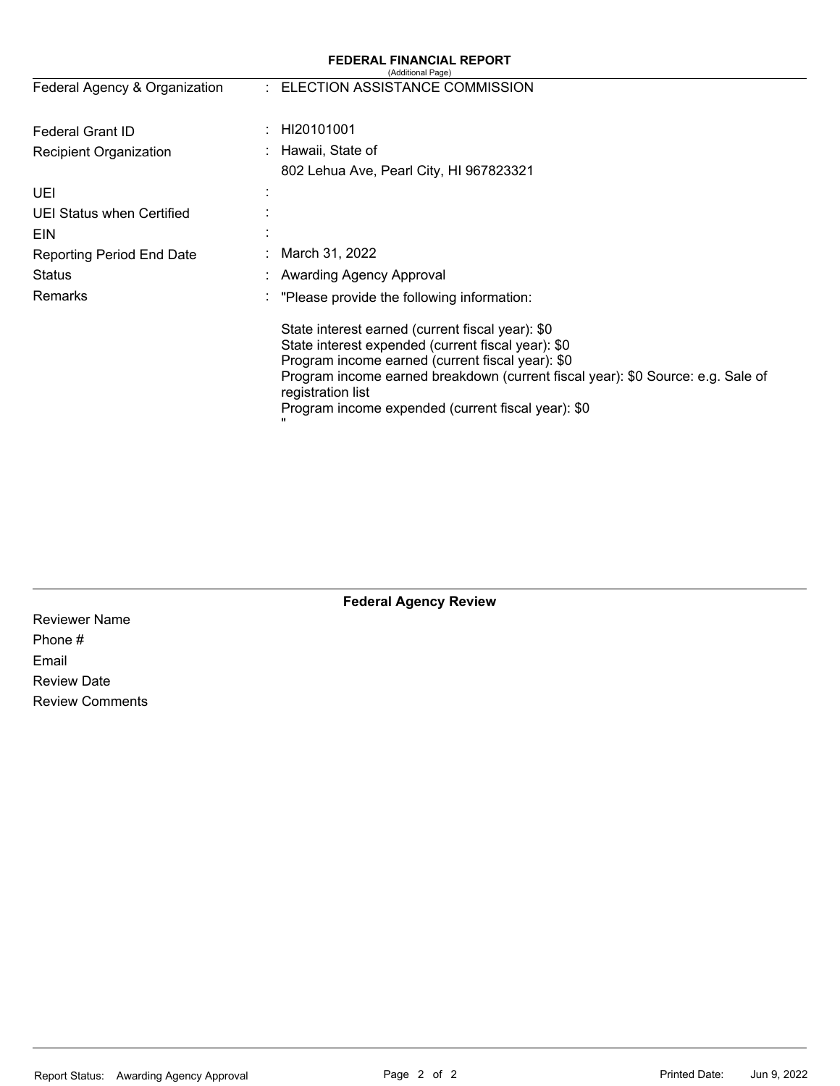|                                  | <b>FEDERAL FINANCIAL REPORT</b><br>(Additional Page)                                                                                                                                                                                                                                                                     |
|----------------------------------|--------------------------------------------------------------------------------------------------------------------------------------------------------------------------------------------------------------------------------------------------------------------------------------------------------------------------|
| Federal Agency & Organization    | : ELECTION ASSISTANCE COMMISSION                                                                                                                                                                                                                                                                                         |
| Federal Grant ID                 | HI20101001                                                                                                                                                                                                                                                                                                               |
| Recipient Organization           | Hawaii, State of                                                                                                                                                                                                                                                                                                         |
|                                  | 802 Lehua Ave, Pearl City, HI 967823321                                                                                                                                                                                                                                                                                  |
| UEI                              |                                                                                                                                                                                                                                                                                                                          |
| UEI Status when Certified        |                                                                                                                                                                                                                                                                                                                          |
| EIN                              |                                                                                                                                                                                                                                                                                                                          |
| <b>Reporting Period End Date</b> | March 31, 2022                                                                                                                                                                                                                                                                                                           |
| Status                           | Awarding Agency Approval                                                                                                                                                                                                                                                                                                 |
| Remarks                          | "Please provide the following information:                                                                                                                                                                                                                                                                               |
|                                  | State interest earned (current fiscal year): \$0<br>State interest expended (current fiscal year): \$0<br>Program income earned (current fiscal year): \$0<br>Program income earned breakdown (current fiscal year): \$0 Source: e.g. Sale of<br>registration list<br>Program income expended (current fiscal year): \$0 |

Reviewer Name Phone # Email Review Date Review Comments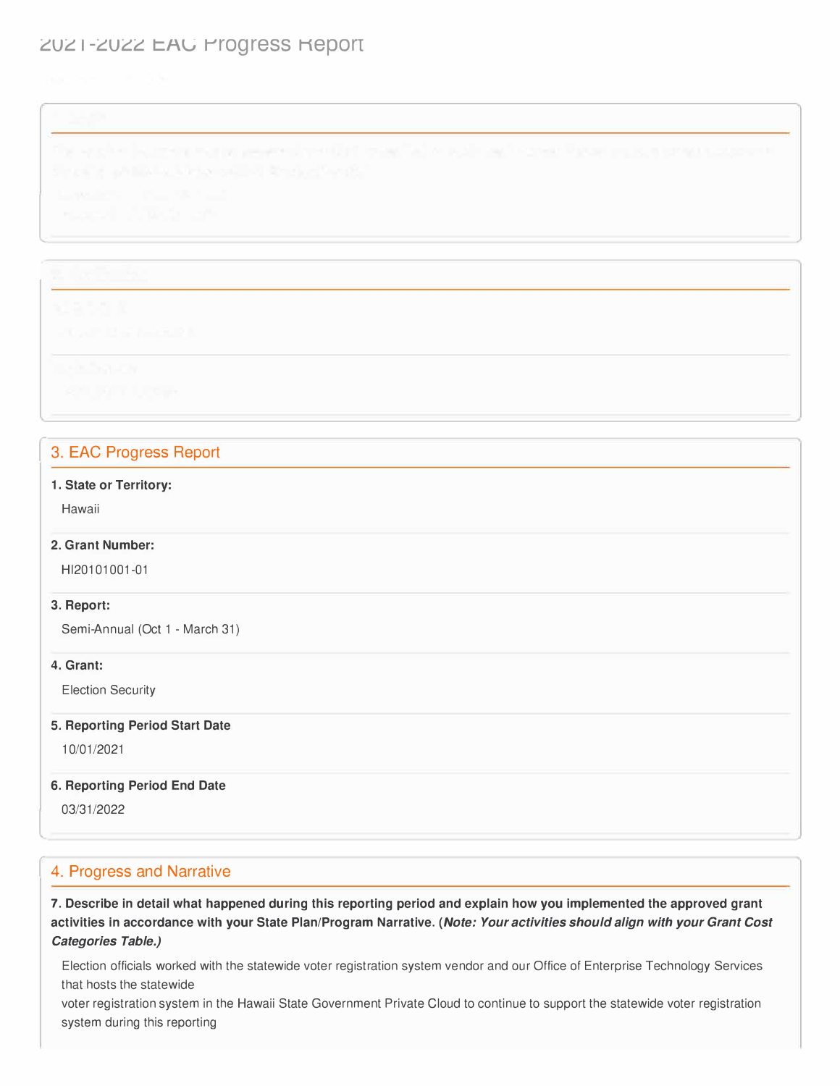# ZUZ I-ZUZZ EAU Progress Report

l

|  |  |  | and the contract of the con- |  |
|--|--|--|------------------------------|--|
|  |  |  |                              |  |
|  |  |  |                              |  |

## 3. EAC Progress Report

#### **1. State or Territory:**

Hawaii

#### **2. Grant Number:**

Hl20101001-01

#### **3. Report:**

Semi-Annual (Oct 1 - March 31)

#### **4. Grant:**

Election Security

#### **5. Reporting Period Start Date**

10/01/2021

#### **6. Reporting Period End Date**

03/31/2022

l

## 4. Progress and Narrative

**7. Describe in detail what happened during this reporting period and explain how you implemented the approved grant activities in accordance with your State Plan/Program Narrative.** *(Note: Your activities should align with your Grant Cost Categories Table.)* 

Election officials worked with the statewide voter registration system vendor and our Office of Enterprise Technology Services that hosts the statewide

voter registration system in the Hawaii State Government Private Cloud to continue to support the statewide voter registration system during this reporting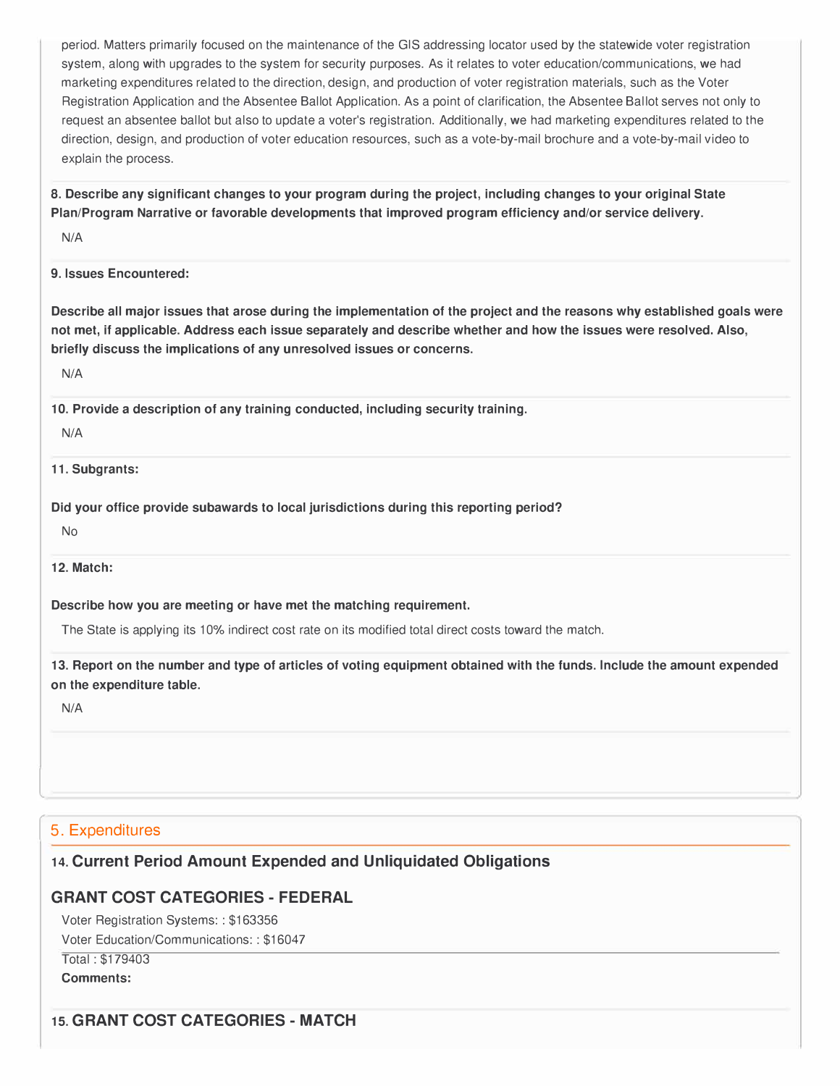period. Matters primarily focused on the maintenance of the GIS addressing locator used by the statewide voter registration system, along with upgrades to the system for security purposes. As it relates to voter education/communications, we had marketing expenditures related to the direction, design, and production of voter registration materials, such as the Voter Registration Application and the Absentee Ballot Application. As a point of clarification, the Absentee Ballot serves not only to request an absentee ballot but also to update a voter's registration. Additionally, we had marketing expenditures related to the direction, design, and production of voter education resources, such as a vote-by-mail brochure and a vote-by-mail video to explain the process.

**8. Describe any significant changes to your program during the project, including changes to your original State Plan/Program Narrative or favorable developments that improved program efficiency and/or service delivery.** 

N/A

#### **9. Issues Encountered:**

**Describe all major issues that arose during the implementation of the project and the reasons why established goals were not met, if applicable. Address each issue separately and describe whether and how the issues were resolved. Also, briefly discuss the implications of any unresolved issues or concerns.** 

N/A

**10. Provide a description of any training conducted, including security training.**

#### N/A

**11. Subgrants:**

**Did your office provide subawards to local jurisdictions during this reporting period?** 

No

**12. Match:**

**Describe how you are meeting or have met the matching requirement.** 

The State is applying its 10% indirect cost rate on its modified total direct costs toward the match.

**13. Report on the number and type of articles of voting equipment obtained with the funds. Include the amount expended on the expenditure table.** 

N/A

l

## 5. Expenditures

# **14. Current Period Amount Expended and Unliquidated Obligations**

# **GRANT COST CATEGORIES- FEDERAL**

Voter Registration Systems: : \$163356 Voter Education/Communications:: \$16047

Total : \$179403

**Comments:** 

# **15. GRANT COST CATEGORIES- MATCH**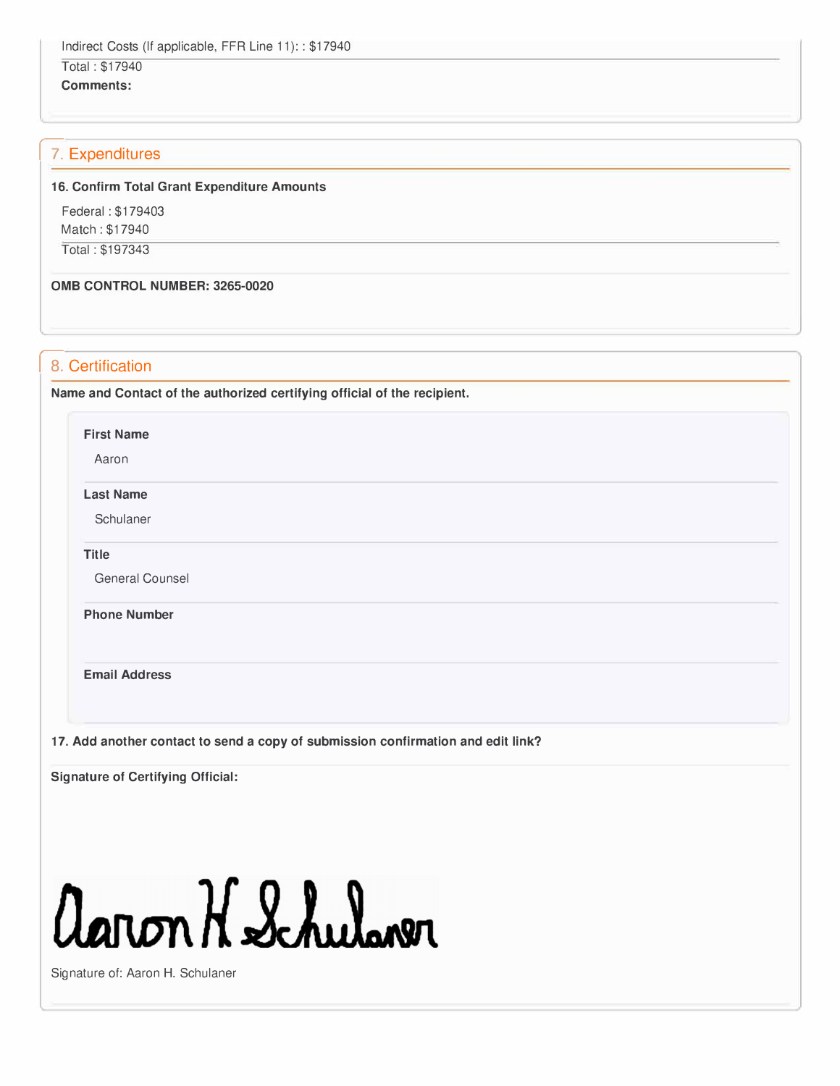# Total : \$17940

**Comments:** 

## 17. Expenditures

#### **16. Confirm Total Grant Expenditure Amounts**

Federal : \$179403 Match : \$17940

Total: \$197343

**0MB CONTROL NUMBER: 3265-0020** 

### 8. Certification

**Name and Contact of the authorized certifying official of the recipient.** 

**First Name** 

Aaron

**Last Name** 

**Schulaner** 

**Title** 

General Counsel

**Phone Number** 

**Email Address** 

**17. Add another contact to send a copy of submission confirmation and edit link?**

**Signature of Certifying Official:** 

# aaron H Schulaver

Signature of: Aaron H. Schulaner